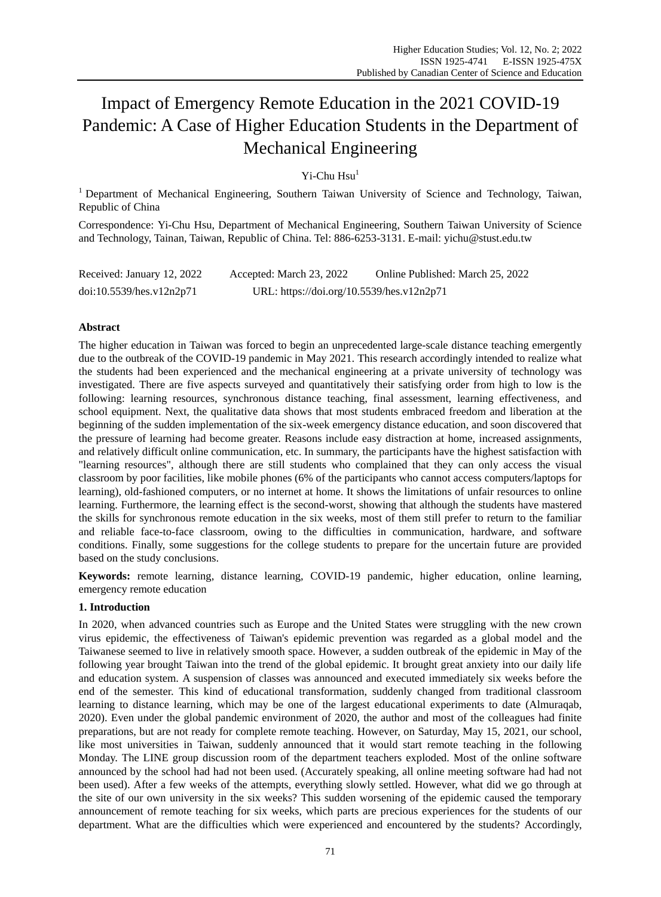# Impact of Emergency Remote Education in the 2021 COVID-19 Pandemic: A Case of Higher Education Students in the Department of Mechanical Engineering

 $Yi$ -Chu  $Hsu<sup>1</sup>$ 

<sup>1</sup> Department of Mechanical Engineering, Southern Taiwan University of Science and Technology, Taiwan, Republic of China

Correspondence: Yi-Chu Hsu, Department of Mechanical Engineering, Southern Taiwan University of Science and Technology, Tainan, Taiwan, Republic of China. Tel: 886-6253-3131. E-mail: yichu@stust.edu.tw

| Received: January 12, 2022 | Accepted: March 23, 2022                  | Online Published: March 25, 2022 |
|----------------------------|-------------------------------------------|----------------------------------|
| doi:10.5539/hes.v12n2p71   | URL: https://doi.org/10.5539/hes.v12n2p71 |                                  |

# **Abstract**

The higher education in Taiwan was forced to begin an unprecedented large-scale distance teaching emergently due to the outbreak of the COVID-19 pandemic in May 2021. This research accordingly intended to realize what the students had been experienced and the mechanical engineering at a private university of technology was investigated. There are five aspects surveyed and quantitatively their satisfying order from high to low is the following: learning resources, synchronous distance teaching, final assessment, learning effectiveness, and school equipment. Next, the qualitative data shows that most students embraced freedom and liberation at the beginning of the sudden implementation of the six-week emergency distance education, and soon discovered that the pressure of learning had become greater. Reasons include easy distraction at home, increased assignments, and relatively difficult online communication, etc. In summary, the participants have the highest satisfaction with "learning resources", although there are still students who complained that they can only access the visual classroom by poor facilities, like mobile phones (6% of the participants who cannot access computers/laptops for learning), old-fashioned computers, or no internet at home. It shows the limitations of unfair resources to online learning. Furthermore, the learning effect is the second-worst, showing that although the students have mastered the skills for synchronous remote education in the six weeks, most of them still prefer to return to the familiar and reliable face-to-face classroom, owing to the difficulties in communication, hardware, and software conditions. Finally, some suggestions for the college students to prepare for the uncertain future are provided based on the study conclusions.

**Keywords:** remote learning, distance learning, COVID-19 pandemic, higher education, online learning, emergency remote education

## **1. Introduction**

In 2020, when advanced countries such as Europe and the United States were struggling with the new crown virus epidemic, the effectiveness of Taiwan's epidemic prevention was regarded as a global model and the Taiwanese seemed to live in relatively smooth space. However, a sudden outbreak of the epidemic in May of the following year brought Taiwan into the trend of the global epidemic. It brought great anxiety into our daily life and education system. A suspension of classes was announced and executed immediately six weeks before the end of the semester. This kind of educational transformation, suddenly changed from traditional classroom learning to distance learning, which may be one of the largest educational experiments to date (Almuraqab, 2020). Even under the global pandemic environment of 2020, the author and most of the colleagues had finite preparations, but are not ready for complete remote teaching. However, on Saturday, May 15, 2021, our school, like most universities in Taiwan, suddenly announced that it would start remote teaching in the following Monday. The LINE group discussion room of the department teachers exploded. Most of the online software announced by the school had had not been used. (Accurately speaking, all online meeting software had had not been used). After a few weeks of the attempts, everything slowly settled. However, what did we go through at the site of our own university in the six weeks? This sudden worsening of the epidemic caused the temporary announcement of remote teaching for six weeks, which parts are precious experiences for the students of our department. What are the difficulties which were experienced and encountered by the students? Accordingly,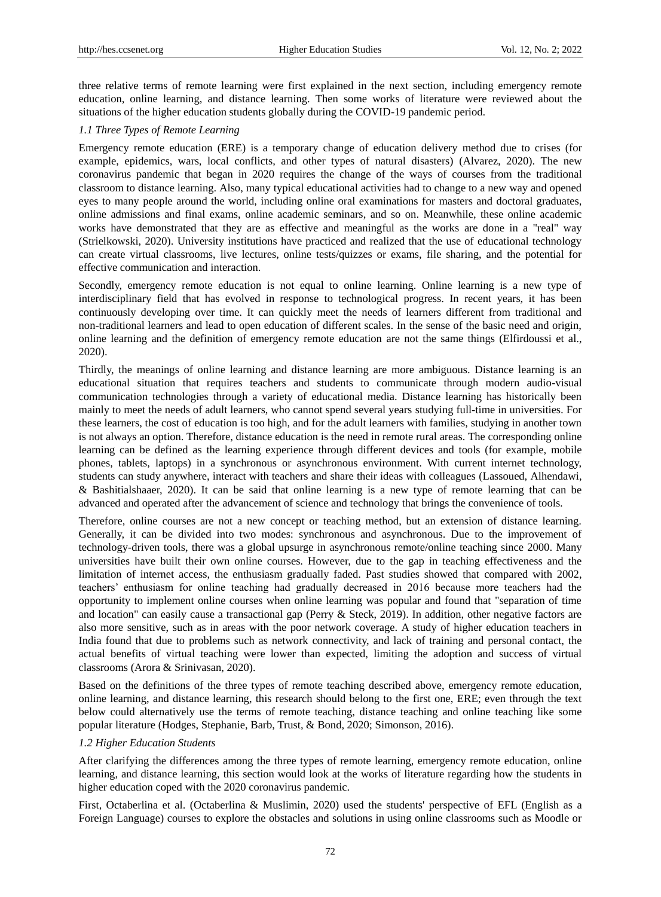three relative terms of remote learning were first explained in the next section, including emergency remote education, online learning, and distance learning. Then some works of literature were reviewed about the situations of the higher education students globally during the COVID-19 pandemic period.

# *1.1 Three Types of Remote Learning*

Emergency remote education (ERE) is a temporary change of education delivery method due to crises (for example, epidemics, wars, local conflicts, and other types of natural disasters) (Alvarez, 2020). The new coronavirus pandemic that began in 2020 requires the change of the ways of courses from the traditional classroom to distance learning. Also, many typical educational activities had to change to a new way and opened eyes to many people around the world, including online oral examinations for masters and doctoral graduates, online admissions and final exams, online academic seminars, and so on. Meanwhile, these online academic works have demonstrated that they are as effective and meaningful as the works are done in a "real" way (Strielkowski, 2020). University institutions have practiced and realized that the use of educational technology can create virtual classrooms, live lectures, online tests/quizzes or exams, file sharing, and the potential for effective communication and interaction.

Secondly, emergency remote education is not equal to online learning. Online learning is a new type of interdisciplinary field that has evolved in response to technological progress. In recent years, it has been continuously developing over time. It can quickly meet the needs of learners different from traditional and non-traditional learners and lead to open education of different scales. In the sense of the basic need and origin, online learning and the definition of emergency remote education are not the same things (Elfirdoussi et al., 2020).

Thirdly, the meanings of online learning and distance learning are more ambiguous. Distance learning is an educational situation that requires teachers and students to communicate through modern audio-visual communication technologies through a variety of educational media. Distance learning has historically been mainly to meet the needs of adult learners, who cannot spend several years studying full-time in universities. For these learners, the cost of education is too high, and for the adult learners with families, studying in another town is not always an option. Therefore, distance education is the need in remote rural areas. The corresponding online learning can be defined as the learning experience through different devices and tools (for example, mobile phones, tablets, laptops) in a synchronous or asynchronous environment. With current internet technology, students can study anywhere, interact with teachers and share their ideas with colleagues (Lassoued, Alhendawi, & Bashitialshaaer, 2020). It can be said that online learning is a new type of remote learning that can be advanced and operated after the advancement of science and technology that brings the convenience of tools.

Therefore, online courses are not a new concept or teaching method, but an extension of distance learning. Generally, it can be divided into two modes: synchronous and asynchronous. Due to the improvement of technology-driven tools, there was a global upsurge in asynchronous remote/online teaching since 2000. Many universities have built their own online courses. However, due to the gap in teaching effectiveness and the limitation of internet access, the enthusiasm gradually faded. Past studies showed that compared with 2002, teachers' enthusiasm for online teaching had gradually decreased in 2016 because more teachers had the opportunity to implement online courses when online learning was popular and found that "separation of time and location" can easily cause a transactional gap (Perry & Steck, 2019). In addition, other negative factors are also more sensitive, such as in areas with the poor network coverage. A study of higher education teachers in India found that due to problems such as network connectivity, and lack of training and personal contact, the actual benefits of virtual teaching were lower than expected, limiting the adoption and success of virtual classrooms (Arora & Srinivasan, 2020).

Based on the definitions of the three types of remote teaching described above, emergency remote education, online learning, and distance learning, this research should belong to the first one, ERE; even through the text below could alternatively use the terms of remote teaching, distance teaching and online teaching like some popular literature (Hodges, Stephanie, Barb, Trust, & Bond, 2020; Simonson, 2016).

## *1.2 Higher Education Students*

After clarifying the differences among the three types of remote learning, emergency remote education, online learning, and distance learning, this section would look at the works of literature regarding how the students in higher education coped with the 2020 coronavirus pandemic.

First, Octaberlina et al. (Octaberlina & Muslimin, 2020) used the students' perspective of EFL (English as a Foreign Language) courses to explore the obstacles and solutions in using online classrooms such as Moodle or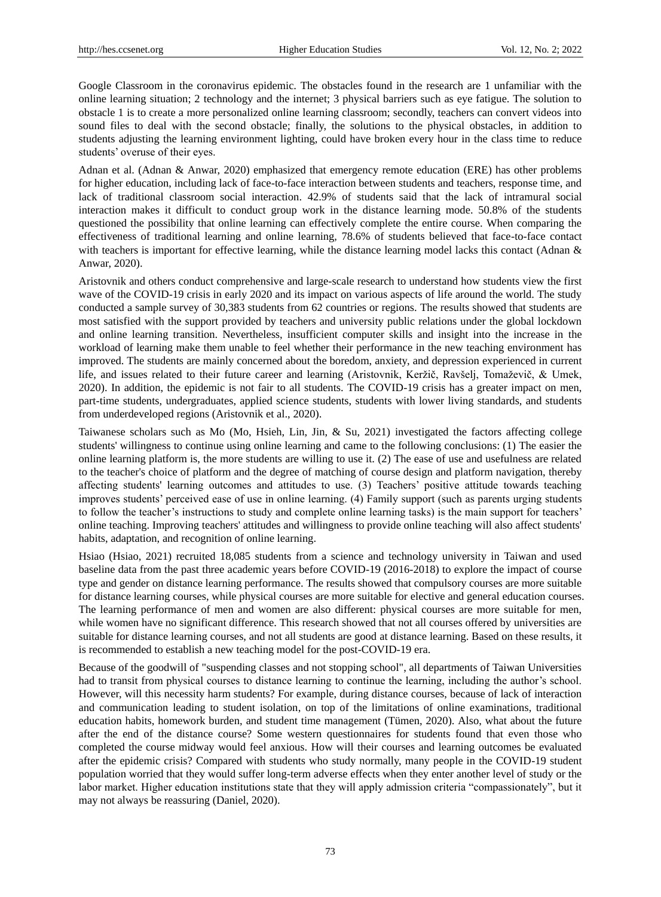Google Classroom in the coronavirus epidemic. The obstacles found in the research are 1 unfamiliar with the online learning situation; 2 technology and the internet; 3 physical barriers such as eye fatigue. The solution to obstacle 1 is to create a more personalized online learning classroom; secondly, teachers can convert videos into sound files to deal with the second obstacle; finally, the solutions to the physical obstacles, in addition to students adjusting the learning environment lighting, could have broken every hour in the class time to reduce students' overuse of their eyes.

Adnan et al. (Adnan & Anwar, 2020) emphasized that emergency remote education (ERE) has other problems for higher education, including lack of face-to-face interaction between students and teachers, response time, and lack of traditional classroom social interaction. 42.9% of students said that the lack of intramural social interaction makes it difficult to conduct group work in the distance learning mode. 50.8% of the students questioned the possibility that online learning can effectively complete the entire course. When comparing the effectiveness of traditional learning and online learning, 78.6% of students believed that face-to-face contact with teachers is important for effective learning, while the distance learning model lacks this contact (Adnan & Anwar, 2020).

Aristovnik and others conduct comprehensive and large-scale research to understand how students view the first wave of the COVID-19 crisis in early 2020 and its impact on various aspects of life around the world. The study conducted a sample survey of 30,383 students from 62 countries or regions. The results showed that students are most satisfied with the support provided by teachers and university public relations under the global lockdown and online learning transition. Nevertheless, insufficient computer skills and insight into the increase in the workload of learning make them unable to feel whether their performance in the new teaching environment has improved. The students are mainly concerned about the boredom, anxiety, and depression experienced in current life, and issues related to their future career and learning (Aristovnik, Keržič, Ravšelj, Tomaževič, & Umek, 2020). In addition, the epidemic is not fair to all students. The COVID-19 crisis has a greater impact on men, part-time students, undergraduates, applied science students, students with lower living standards, and students from underdeveloped regions (Aristovnik et al., 2020).

Taiwanese scholars such as Mo (Mo, Hsieh, Lin, Jin, & Su, 2021) investigated the factors affecting college students' willingness to continue using online learning and came to the following conclusions: (1) The easier the online learning platform is, the more students are willing to use it. (2) The ease of use and usefulness are related to the teacher's choice of platform and the degree of matching of course design and platform navigation, thereby affecting students' learning outcomes and attitudes to use. (3) Teachers' positive attitude towards teaching improves students' perceived ease of use in online learning. (4) Family support (such as parents urging students to follow the teacher's instructions to study and complete online learning tasks) is the main support for teachers' online teaching. Improving teachers' attitudes and willingness to provide online teaching will also affect students' habits, adaptation, and recognition of online learning.

Hsiao (Hsiao, 2021) recruited 18,085 students from a science and technology university in Taiwan and used baseline data from the past three academic years before COVID-19 (2016-2018) to explore the impact of course type and gender on distance learning performance. The results showed that compulsory courses are more suitable for distance learning courses, while physical courses are more suitable for elective and general education courses. The learning performance of men and women are also different: physical courses are more suitable for men, while women have no significant difference. This research showed that not all courses offered by universities are suitable for distance learning courses, and not all students are good at distance learning. Based on these results, it is recommended to establish a new teaching model for the post-COVID-19 era.

Because of the goodwill of "suspending classes and not stopping school", all departments of Taiwan Universities had to transit from physical courses to distance learning to continue the learning, including the author's school. However, will this necessity harm students? For example, during distance courses, because of lack of interaction and communication leading to student isolation, on top of the limitations of online examinations, traditional education habits, homework burden, and student time management (Tümen, 2020). Also, what about the future after the end of the distance course? Some western questionnaires for students found that even those who completed the course midway would feel anxious. How will their courses and learning outcomes be evaluated after the epidemic crisis? Compared with students who study normally, many people in the COVID-19 student population worried that they would suffer long-term adverse effects when they enter another level of study or the labor market. Higher education institutions state that they will apply admission criteria "compassionately", but it may not always be reassuring (Daniel, 2020).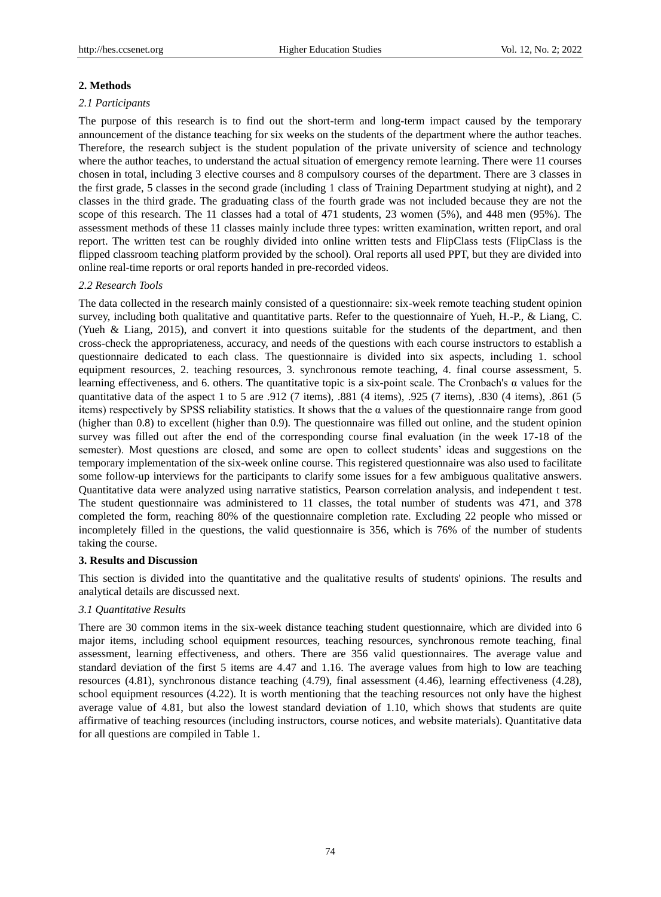#### **2. Methods**

#### *2.1 Participants*

The purpose of this research is to find out the short-term and long-term impact caused by the temporary announcement of the distance teaching for six weeks on the students of the department where the author teaches. Therefore, the research subject is the student population of the private university of science and technology where the author teaches, to understand the actual situation of emergency remote learning. There were 11 courses chosen in total, including 3 elective courses and 8 compulsory courses of the department. There are 3 classes in the first grade, 5 classes in the second grade (including 1 class of Training Department studying at night), and 2 classes in the third grade. The graduating class of the fourth grade was not included because they are not the scope of this research. The 11 classes had a total of 471 students, 23 women (5%), and 448 men (95%). The assessment methods of these 11 classes mainly include three types: written examination, written report, and oral report. The written test can be roughly divided into online written tests and FlipClass tests (FlipClass is the flipped classroom teaching platform provided by the school). Oral reports all used PPT, but they are divided into online real-time reports or oral reports handed in pre-recorded videos.

#### *2.2 Research Tools*

The data collected in the research mainly consisted of a questionnaire: six-week remote teaching student opinion survey, including both qualitative and quantitative parts. Refer to the questionnaire of Yueh, H.-P., & Liang, C. (Yueh & Liang, 2015), and convert it into questions suitable for the students of the department, and then cross-check the appropriateness, accuracy, and needs of the questions with each course instructors to establish a questionnaire dedicated to each class. The questionnaire is divided into six aspects, including 1. school equipment resources, 2. teaching resources, 3. synchronous remote teaching, 4. final course assessment, 5. learning effectiveness, and 6. others. The quantitative topic is a six-point scale. The Cronbach's α values for the quantitative data of the aspect 1 to 5 are .912 (7 items), .881 (4 items), .925 (7 items), .830 (4 items), .861 (5 items) respectively by SPSS reliability statistics. It shows that the  $\alpha$  values of the questionnaire range from good (higher than 0.8) to excellent (higher than 0.9). The questionnaire was filled out online, and the student opinion survey was filled out after the end of the corresponding course final evaluation (in the week 17-18 of the semester). Most questions are closed, and some are open to collect students' ideas and suggestions on the temporary implementation of the six-week online course. This registered questionnaire was also used to facilitate some follow-up interviews for the participants to clarify some issues for a few ambiguous qualitative answers. Quantitative data were analyzed using narrative statistics, Pearson correlation analysis, and independent t test. The student questionnaire was administered to 11 classes, the total number of students was 471, and 378 completed the form, reaching 80% of the questionnaire completion rate. Excluding 22 people who missed or incompletely filled in the questions, the valid questionnaire is 356, which is 76% of the number of students taking the course.

#### **3. Results and Discussion**

This section is divided into the quantitative and the qualitative results of students' opinions. The results and analytical details are discussed next.

## *3.1 Quantitative Results*

There are 30 common items in the six-week distance teaching student questionnaire, which are divided into 6 major items, including school equipment resources, teaching resources, synchronous remote teaching, final assessment, learning effectiveness, and others. There are 356 valid questionnaires. The average value and standard deviation of the first 5 items are 4.47 and 1.16. The average values from high to low are teaching resources (4.81), synchronous distance teaching (4.79), final assessment (4.46), learning effectiveness (4.28), school equipment resources (4.22). It is worth mentioning that the teaching resources not only have the highest average value of 4.81, but also the lowest standard deviation of 1.10, which shows that students are quite affirmative of teaching resources (including instructors, course notices, and website materials). Quantitative data for all questions are compiled in Table 1.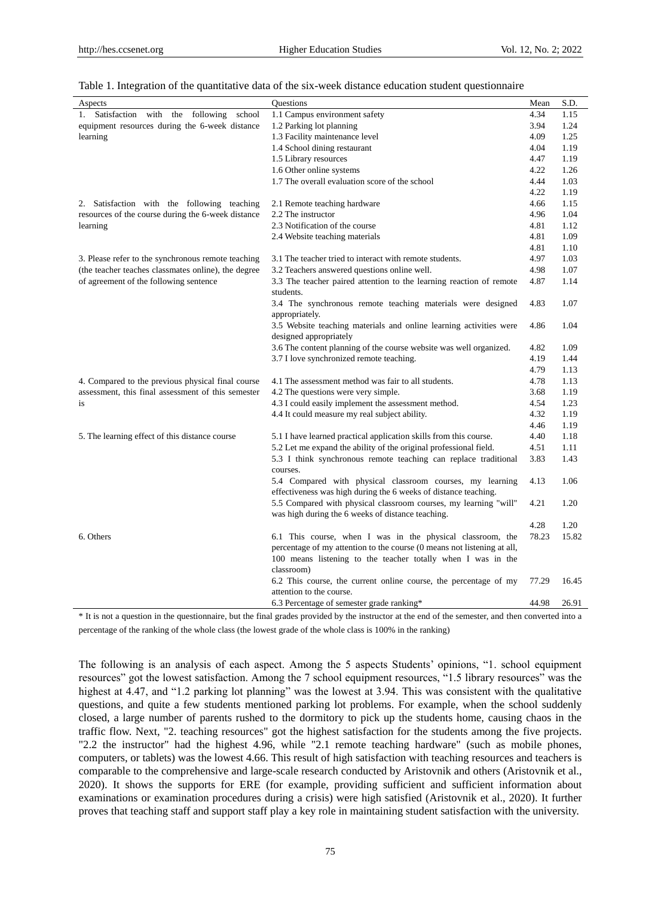| Aspects                                             | <b>Ouestions</b>                                                                                                                                      | Mean  | S.D.  |
|-----------------------------------------------------|-------------------------------------------------------------------------------------------------------------------------------------------------------|-------|-------|
| with the following school<br>1. Satisfaction        | 1.1 Campus environment safety                                                                                                                         | 4.34  | 1.15  |
| equipment resources during the 6-week distance      | 1.2 Parking lot planning                                                                                                                              | 3.94  | 1.24  |
| learning                                            | 1.3 Facility maintenance level                                                                                                                        | 4.09  | 1.25  |
|                                                     | 1.4 School dining restaurant                                                                                                                          | 4.04  | 1.19  |
|                                                     | 1.5 Library resources                                                                                                                                 | 4.47  | 1.19  |
|                                                     | 1.6 Other online systems                                                                                                                              | 4.22  | 1.26  |
|                                                     | 1.7 The overall evaluation score of the school                                                                                                        | 4.44  | 1.03  |
|                                                     |                                                                                                                                                       | 4.22  | 1.19  |
| 2. Satisfaction with the following teaching         | 2.1 Remote teaching hardware                                                                                                                          | 4.66  | 1.15  |
| resources of the course during the 6-week distance  | 2.2 The instructor                                                                                                                                    | 4.96  | 1.04  |
| learning                                            | 2.3 Notification of the course                                                                                                                        | 4.81  | 1.12  |
|                                                     | 2.4 Website teaching materials                                                                                                                        | 4.81  | 1.09  |
|                                                     |                                                                                                                                                       | 4.81  | 1.10  |
| 3. Please refer to the synchronous remote teaching  | 3.1 The teacher tried to interact with remote students.                                                                                               | 4.97  | 1.03  |
| (the teacher teaches classmates online), the degree | 3.2 Teachers answered questions online well.                                                                                                          | 4.98  | 1.07  |
| of agreement of the following sentence              | 3.3 The teacher paired attention to the learning reaction of remote<br>students.                                                                      | 4.87  | 1.14  |
|                                                     | 3.4 The synchronous remote teaching materials were designed<br>appropriately.                                                                         | 4.83  | 1.07  |
|                                                     | 3.5 Website teaching materials and online learning activities were<br>designed appropriately                                                          | 4.86  | 1.04  |
|                                                     | 3.6 The content planning of the course website was well organized.                                                                                    | 4.82  | 1.09  |
|                                                     | 3.7 I love synchronized remote teaching.                                                                                                              | 4.19  | 1.44  |
|                                                     |                                                                                                                                                       | 4.79  | 1.13  |
| 4. Compared to the previous physical final course   | 4.1 The assessment method was fair to all students.                                                                                                   | 4.78  | 1.13  |
| assessment, this final assessment of this semester  | 4.2 The questions were very simple.                                                                                                                   | 3.68  | 1.19  |
| is                                                  | 4.3 I could easily implement the assessment method.                                                                                                   | 4.54  | 1.23  |
|                                                     | 4.4 It could measure my real subject ability.                                                                                                         | 4.32  | 1.19  |
|                                                     |                                                                                                                                                       | 4.46  | 1.19  |
| 5. The learning effect of this distance course      | 5.1 I have learned practical application skills from this course.                                                                                     | 4.40  | 1.18  |
|                                                     | 5.2 Let me expand the ability of the original professional field.                                                                                     | 4.51  | 1.11  |
|                                                     | 5.3 I think synchronous remote teaching can replace traditional<br>courses.                                                                           | 3.83  | 1.43  |
|                                                     | 5.4 Compared with physical classroom courses, my learning<br>effectiveness was high during the 6 weeks of distance teaching.                          | 4.13  | 1.06  |
|                                                     | 5.5 Compared with physical classroom courses, my learning "will"<br>was high during the 6 weeks of distance teaching.                                 | 4.21  | 1.20  |
|                                                     |                                                                                                                                                       | 4.28  | 1.20  |
| 6. Others                                           | 6.1 This course, when I was in the physical classroom, the                                                                                            | 78.23 | 15.82 |
|                                                     | percentage of my attention to the course (0 means not listening at all,<br>100 means listening to the teacher totally when I was in the<br>classroom) |       |       |
|                                                     | 6.2 This course, the current online course, the percentage of my<br>attention to the course.                                                          | 77.29 | 16.45 |
|                                                     | 6.3 Percentage of semester grade ranking*                                                                                                             | 44.98 | 26.91 |

#### Table 1. Integration of the quantitative data of the six-week distance education student questionnaire

\* It is not a question in the questionnaire, but the final grades provided by the instructor at the end of the semester, and then converted into a percentage of the ranking of the whole class (the lowest grade of the whole class is 100% in the ranking)

The following is an analysis of each aspect. Among the 5 aspects Students' opinions, "1. school equipment resources" got the lowest satisfaction. Among the 7 school equipment resources, "1.5 library resources" was the highest at 4.47, and "1.2 parking lot planning" was the lowest at 3.94. This was consistent with the qualitative questions, and quite a few students mentioned parking lot problems. For example, when the school suddenly closed, a large number of parents rushed to the dormitory to pick up the students home, causing chaos in the traffic flow. Next, "2. teaching resources" got the highest satisfaction for the students among the five projects. "2.2 the instructor" had the highest 4.96, while "2.1 remote teaching hardware" (such as mobile phones, computers, or tablets) was the lowest 4.66. This result of high satisfaction with teaching resources and teachers is comparable to the comprehensive and large-scale research conducted by Aristovnik and others (Aristovnik et al., 2020). It shows the supports for ERE (for example, providing sufficient and sufficient information about examinations or examination procedures during a crisis) were high satisfied (Aristovnik et al., 2020). It further proves that teaching staff and support staff play a key role in maintaining student satisfaction with the university.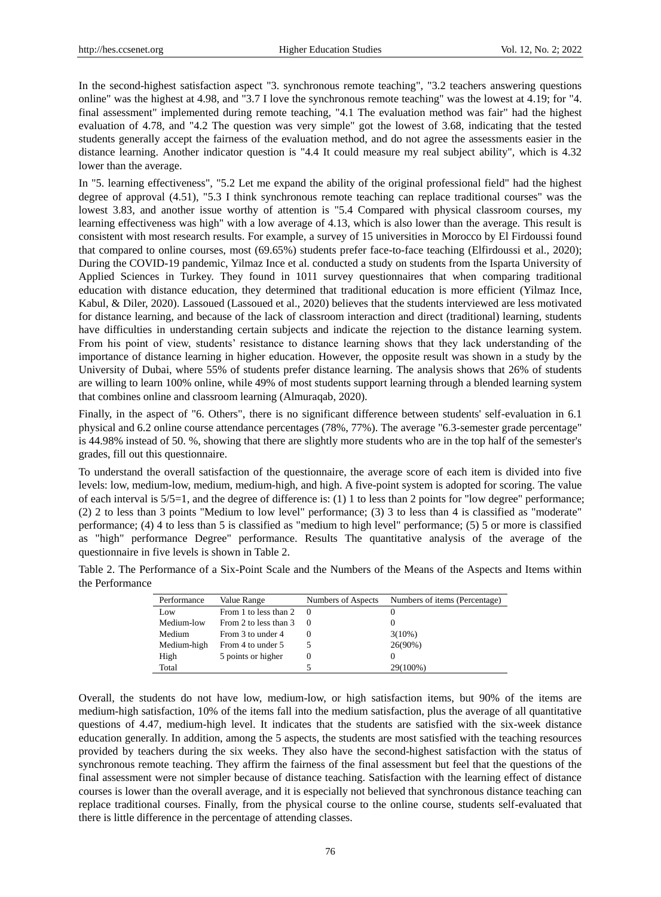In the second-highest satisfaction aspect "3. synchronous remote teaching", "3.2 teachers answering questions online" was the highest at 4.98, and "3.7 I love the synchronous remote teaching" was the lowest at 4.19; for "4. final assessment" implemented during remote teaching, "4.1 The evaluation method was fair" had the highest evaluation of 4.78, and "4.2 The question was very simple" got the lowest of 3.68, indicating that the tested students generally accept the fairness of the evaluation method, and do not agree the assessments easier in the distance learning. Another indicator question is "4.4 It could measure my real subject ability", which is 4.32 lower than the average.

In "5. learning effectiveness", "5.2 Let me expand the ability of the original professional field" had the highest degree of approval (4.51), "5.3 I think synchronous remote teaching can replace traditional courses" was the lowest 3.83, and another issue worthy of attention is "5.4 Compared with physical classroom courses, my learning effectiveness was high" with a low average of 4.13, which is also lower than the average. This result is consistent with most research results. For example, a survey of 15 universities in Morocco by El Firdoussi found that compared to online courses, most (69.65%) students prefer face-to-face teaching (Elfirdoussi et al., 2020); During the COVID-19 pandemic, Yilmaz Ince et al. conducted a study on students from the Isparta University of Applied Sciences in Turkey. They found in 1011 survey questionnaires that when comparing traditional education with distance education, they determined that traditional education is more efficient (Yilmaz Ince, Kabul, & Diler, 2020). Lassoued (Lassoued et al., 2020) believes that the students interviewed are less motivated for distance learning, and because of the lack of classroom interaction and direct (traditional) learning, students have difficulties in understanding certain subjects and indicate the rejection to the distance learning system. From his point of view, students' resistance to distance learning shows that they lack understanding of the importance of distance learning in higher education. However, the opposite result was shown in a study by the University of Dubai, where 55% of students prefer distance learning. The analysis shows that 26% of students are willing to learn 100% online, while 49% of most students support learning through a blended learning system that combines online and classroom learning (Almuraqab, 2020).

Finally, in the aspect of "6. Others", there is no significant difference between students' self-evaluation in 6.1 physical and 6.2 online course attendance percentages (78%, 77%). The average "6.3-semester grade percentage" is 44.98% instead of 50. %, showing that there are slightly more students who are in the top half of the semester's grades, fill out this questionnaire.

To understand the overall satisfaction of the questionnaire, the average score of each item is divided into five levels: low, medium-low, medium, medium-high, and high. A five-point system is adopted for scoring. The value of each interval is 5/5=1, and the degree of difference is: (1) 1 to less than 2 points for "low degree" performance; (2) 2 to less than 3 points "Medium to low level" performance; (3) 3 to less than 4 is classified as "moderate" performance; (4) 4 to less than 5 is classified as "medium to high level" performance; (5) 5 or more is classified as "high" performance Degree" performance. Results The quantitative analysis of the average of the questionnaire in five levels is shown in Table 2.

Table 2. The Performance of a Six-Point Scale and the Numbers of the Means of the Aspects and Items within the Performance

| Performance | Value Range           | Numbers of Aspects | Numbers of items (Percentage) |
|-------------|-----------------------|--------------------|-------------------------------|
| Low         | From 1 to less than 2 |                    |                               |
| Medium-low  | From 2 to less than 3 |                    |                               |
| Medium      | From 3 to under 4     |                    | $3(10\%)$                     |
| Medium-high | From 4 to under 5     |                    | $26(90\%)$                    |
| High        | 5 points or higher    | O                  |                               |
| Total       |                       |                    | 29(100%)                      |

Overall, the students do not have low, medium-low, or high satisfaction items, but 90% of the items are medium-high satisfaction, 10% of the items fall into the medium satisfaction, plus the average of all quantitative questions of 4.47, medium-high level. It indicates that the students are satisfied with the six-week distance education generally. In addition, among the 5 aspects, the students are most satisfied with the teaching resources provided by teachers during the six weeks. They also have the second-highest satisfaction with the status of synchronous remote teaching. They affirm the fairness of the final assessment but feel that the questions of the final assessment were not simpler because of distance teaching. Satisfaction with the learning effect of distance courses is lower than the overall average, and it is especially not believed that synchronous distance teaching can replace traditional courses. Finally, from the physical course to the online course, students self-evaluated that there is little difference in the percentage of attending classes.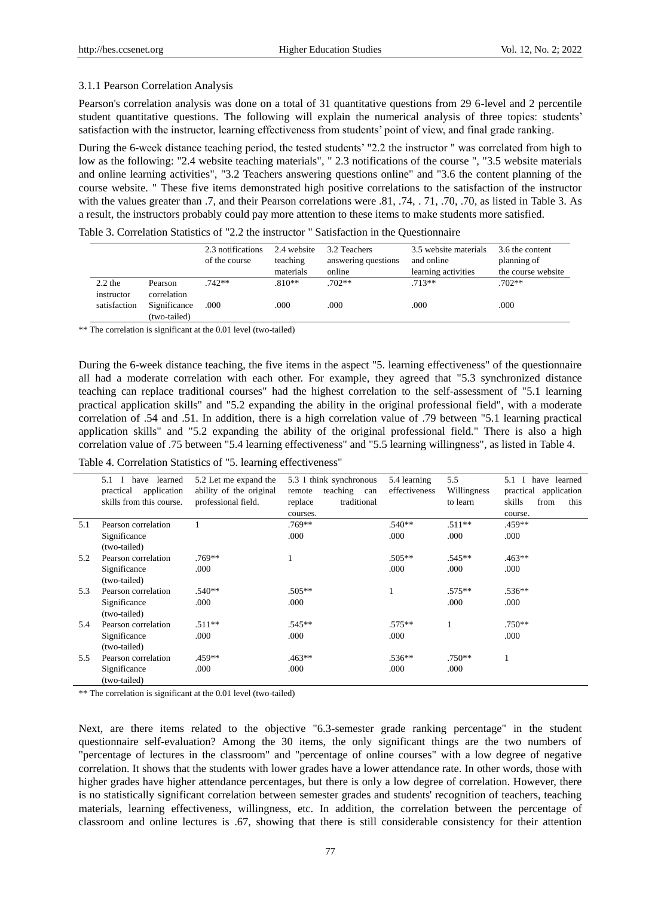#### 3.1.1 Pearson Correlation Analysis

Pearson's correlation analysis was done on a total of 31 quantitative questions from 29 6-level and 2 percentile student quantitative questions. The following will explain the numerical analysis of three topics: students' satisfaction with the instructor, learning effectiveness from students' point of view, and final grade ranking.

During the 6-week distance teaching period, the tested students' "2.2 the instructor " was correlated from high to low as the following: "2.4 website teaching materials", "2.3 notifications of the course ", "3.5 website materials and online learning activities", "3.2 Teachers answering questions online" and "3.6 the content planning of the course website. " These five items demonstrated high positive correlations to the satisfaction of the instructor with the values greater than .7, and their Pearson correlations were .81, .74, .71, .70, .70, as listed in Table 3. As a result, the instructors probably could pay more attention to these items to make students more satisfied.

| Table 3. Correlation Statistics of "2.2 the instructor" Satisfaction in the Questionnaire |  |  |
|-------------------------------------------------------------------------------------------|--|--|
|-------------------------------------------------------------------------------------------|--|--|

|                         |                              | 2.3 notifications<br>of the course | 2.4 website<br>teaching | 3.2 Teachers<br>answering questions | 3.5 website materials<br>and online | 3.6 the content<br>planning of |
|-------------------------|------------------------------|------------------------------------|-------------------------|-------------------------------------|-------------------------------------|--------------------------------|
|                         |                              |                                    | materials               | online                              | learning activities                 | the course website             |
| $2.2$ the<br>instructor | Pearson<br>correlation       | $.742**$                           | $.810**$                | $.702**$                            | $713**$                             | $.702**$                       |
| satisfaction            | Significance<br>(two-tailed) | .000                               | .000                    | .000                                | .000                                | .000                           |

\*\* The correlation is significant at the 0.01 level (two-tailed)

During the 6-week distance teaching, the five items in the aspect "5. learning effectiveness" of the questionnaire all had a moderate correlation with each other. For example, they agreed that "5.3 synchronized distance teaching can replace traditional courses" had the highest correlation to the self-assessment of "5.1 learning practical application skills" and "5.2 expanding the ability in the original professional field", with a moderate correlation of .54 and .51. In addition, there is a high correlation value of .79 between "5.1 learning practical application skills" and "5.2 expanding the ability of the original professional field." There is also a high correlation value of .75 between "5.4 learning effectiveness" and "5.5 learning willingness", as listed in Table 4.

Table 4. Correlation Statistics of "5. learning effectiveness"

|     | 5.1 I<br>have learned<br>practical<br>application<br>skills from this course. | 5.2 Let me expand the<br>ability of the original<br>professional field. | 5.3 I think synchronous<br>teaching<br>remote<br>can<br>replace<br>traditional | 5.4 learning<br>effectiveness | 5.5<br>Willingness<br>to learn | 5.1 I have learned<br>practical application<br>skills<br>this<br>from |
|-----|-------------------------------------------------------------------------------|-------------------------------------------------------------------------|--------------------------------------------------------------------------------|-------------------------------|--------------------------------|-----------------------------------------------------------------------|
|     |                                                                               |                                                                         | courses.                                                                       |                               |                                | course.                                                               |
| 5.1 | Pearson correlation                                                           |                                                                         | .769**                                                                         | $.540**$                      | $.511**$                       | .459**                                                                |
|     | Significance<br>(two-tailed)                                                  |                                                                         | .000                                                                           | .000                          | .000                           | .000                                                                  |
| 5.2 | Pearson correlation                                                           | $.769**$                                                                |                                                                                | $.505**$                      | $.545**$                       | $.463**$                                                              |
|     | Significance<br>(two-tailed)                                                  | .000                                                                    |                                                                                | .000                          | .000                           | .000                                                                  |
| 5.3 | Pearson correlation                                                           | $.540**$                                                                | $.505**$                                                                       |                               | $.575***$                      | $.536**$                                                              |
|     | Significance<br>(two-tailed)                                                  | .000                                                                    | .000                                                                           |                               | .000                           | .000                                                                  |
| 5.4 | Pearson correlation                                                           | $.511**$                                                                | $.545**$                                                                       | $.575***$                     |                                | $.750**$                                                              |
|     | Significance<br>(two-tailed)                                                  | .000                                                                    | .000                                                                           | .000                          |                                | .000                                                                  |
| 5.5 | Pearson correlation                                                           | $.459**$                                                                | $.463**$                                                                       | $.536**$                      | $.750**$                       |                                                                       |
|     | Significance<br>(two-tailed)                                                  | .000                                                                    | .000                                                                           | .000                          | .000                           |                                                                       |

\*\* The correlation is significant at the 0.01 level (two-tailed)

Next, are there items related to the objective "6.3-semester grade ranking percentage" in the student questionnaire self-evaluation? Among the 30 items, the only significant things are the two numbers of "percentage of lectures in the classroom" and "percentage of online courses" with a low degree of negative correlation. It shows that the students with lower grades have a lower attendance rate. In other words, those with higher grades have higher attendance percentages, but there is only a low degree of correlation. However, there is no statistically significant correlation between semester grades and students' recognition of teachers, teaching materials, learning effectiveness, willingness, etc. In addition, the correlation between the percentage of classroom and online lectures is .67, showing that there is still considerable consistency for their attention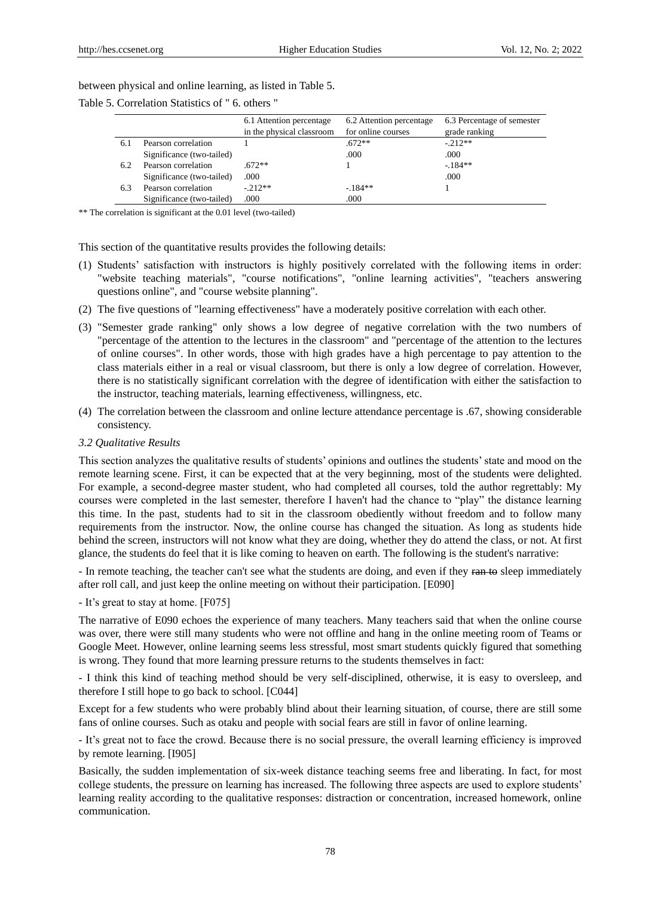between physical and online learning, as listed in Table 5.

| Table 5. Correlation Statistics of "6. others" |  |
|------------------------------------------------|--|
|------------------------------------------------|--|

|     |                           | 6.1 Attention percentage  | 6.2 Attention percentage | 6.3 Percentage of semester |
|-----|---------------------------|---------------------------|--------------------------|----------------------------|
|     |                           | in the physical classroom | for online courses       | grade ranking              |
| 6.1 | Pearson correlation       |                           | $.672**$                 | $-212**$                   |
|     | Significance (two-tailed) |                           | .000                     | .000                       |
| 6.2 | Pearson correlation       | $672**$                   |                          | $-184**$                   |
|     | Significance (two-tailed) | .000                      |                          | .000                       |
| 6.3 | Pearson correlation       | $-212**$                  | $-184**$                 |                            |
|     | Significance (two-tailed) | .000                      | .000                     |                            |

\*\* The correlation is significant at the 0.01 level (two-tailed)

This section of the quantitative results provides the following details:

- (1) Students' satisfaction with instructors is highly positively correlated with the following items in order: "website teaching materials", "course notifications", "online learning activities", "teachers answering questions online", and "course website planning".
- (2) The five questions of "learning effectiveness" have a moderately positive correlation with each other.
- (3) "Semester grade ranking" only shows a low degree of negative correlation with the two numbers of "percentage of the attention to the lectures in the classroom" and "percentage of the attention to the lectures of online courses". In other words, those with high grades have a high percentage to pay attention to the class materials either in a real or visual classroom, but there is only a low degree of correlation. However, there is no statistically significant correlation with the degree of identification with either the satisfaction to the instructor, teaching materials, learning effectiveness, willingness, etc.
- (4) The correlation between the classroom and online lecture attendance percentage is .67, showing considerable consistency.

## *3.2 Qualitative Results*

This section analyzes the qualitative results of students' opinions and outlines the students' state and mood on the remote learning scene. First, it can be expected that at the very beginning, most of the students were delighted. For example, a second-degree master student, who had completed all courses, told the author regrettably: My courses were completed in the last semester, therefore I haven't had the chance to "play" the distance learning this time. In the past, students had to sit in the classroom obediently without freedom and to follow many requirements from the instructor. Now, the online course has changed the situation. As long as students hide behind the screen, instructors will not know what they are doing, whether they do attend the class, or not. At first glance, the students do feel that it is like coming to heaven on earth. The following is the student's narrative:

- In remote teaching, the teacher can't see what the students are doing, and even if they ran to sleep immediately after roll call, and just keep the online meeting on without their participation. [E090]

- It's great to stay at home. [F075]

The narrative of E090 echoes the experience of many teachers. Many teachers said that when the online course was over, there were still many students who were not offline and hang in the online meeting room of Teams or Google Meet. However, online learning seems less stressful, most smart students quickly figured that something is wrong. They found that more learning pressure returns to the students themselves in fact:

- I think this kind of teaching method should be very self-disciplined, otherwise, it is easy to oversleep, and therefore I still hope to go back to school. [C044]

Except for a few students who were probably blind about their learning situation, of course, there are still some fans of online courses. Such as otaku and people with social fears are still in favor of online learning.

- It's great not to face the crowd. Because there is no social pressure, the overall learning efficiency is improved by remote learning. [I905]

Basically, the sudden implementation of six-week distance teaching seems free and liberating. In fact, for most college students, the pressure on learning has increased. The following three aspects are used to explore students' learning reality according to the qualitative responses: distraction or concentration, increased homework, online communication.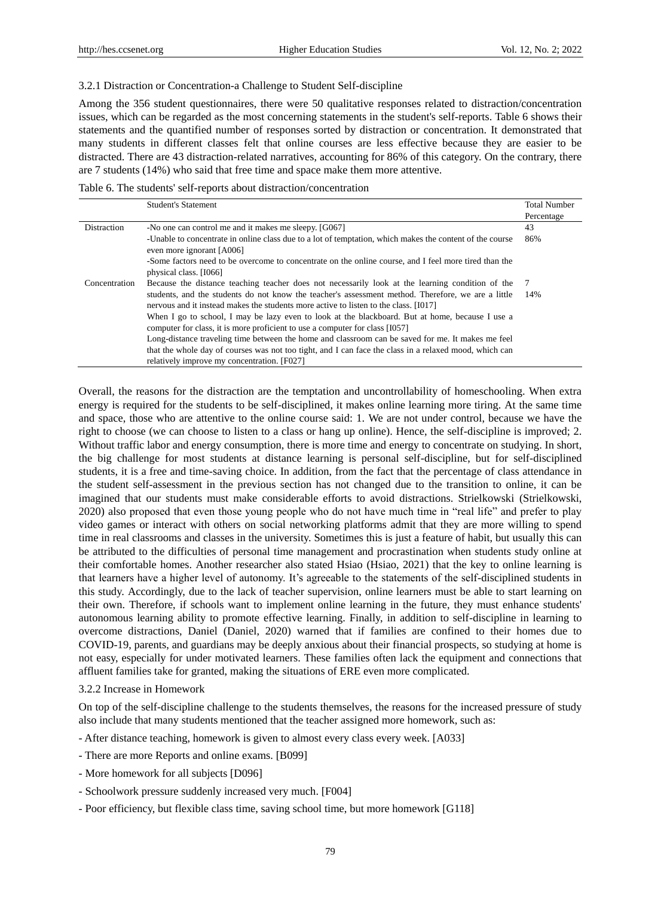#### 3.2.1 Distraction or Concentration-a Challenge to Student Self-discipline

Among the 356 student questionnaires, there were 50 qualitative responses related to distraction/concentration issues, which can be regarded as the most concerning statements in the student's self-reports. Table 6 shows their statements and the quantified number of responses sorted by distraction or concentration. It demonstrated that many students in different classes felt that online courses are less effective because they are easier to be distracted. There are 43 distraction-related narratives, accounting for 86% of this category. On the contrary, there are 7 students (14%) who said that free time and space make them more attentive.

Table 6. The students' self-reports about distraction/concentration

|               | <b>Student's Statement</b>                                                                                                                                                                 | <b>Total Number</b> |
|---------------|--------------------------------------------------------------------------------------------------------------------------------------------------------------------------------------------|---------------------|
|               |                                                                                                                                                                                            | Percentage          |
| Distraction   | -No one can control me and it makes me sleepy. [G067]                                                                                                                                      | 43                  |
|               | -Unable to concentrate in online class due to a lot of temptation, which makes the content of the course<br>even more ignorant [A006]                                                      | 86%                 |
|               | -Some factors need to be overcome to concentrate on the online course, and I feel more tired than the<br>physical class. [1066]                                                            |                     |
| Concentration | Because the distance teaching teacher does not necessarily look at the learning condition of the                                                                                           |                     |
|               | students, and the students do not know the teacher's assessment method. Therefore, we are a little<br>nervous and it instead makes the students more active to listen to the class. [1017] | 14%                 |
|               | When I go to school, I may be lazy even to look at the blackboard. But at home, because I use a<br>computer for class, it is more proficient to use a computer for class [1057]            |                     |
|               | Long-distance traveling time between the home and classroom can be saved for me. It makes me feel                                                                                          |                     |
|               | that the whole day of courses was not too tight, and I can face the class in a relaxed mood, which can                                                                                     |                     |
|               | relatively improve my concentration. [F027]                                                                                                                                                |                     |

Overall, the reasons for the distraction are the temptation and uncontrollability of homeschooling. When extra energy is required for the students to be self-disciplined, it makes online learning more tiring. At the same time and space, those who are attentive to the online course said: 1. We are not under control, because we have the right to choose (we can choose to listen to a class or hang up online). Hence, the self-discipline is improved; 2. Without traffic labor and energy consumption, there is more time and energy to concentrate on studying. In short, the big challenge for most students at distance learning is personal self-discipline, but for self-disciplined students, it is a free and time-saving choice. In addition, from the fact that the percentage of class attendance in the student self-assessment in the previous section has not changed due to the transition to online, it can be imagined that our students must make considerable efforts to avoid distractions. Strielkowski (Strielkowski, 2020) also proposed that even those young people who do not have much time in "real life" and prefer to play video games or interact with others on social networking platforms admit that they are more willing to spend time in real classrooms and classes in the university. Sometimes this is just a feature of habit, but usually this can be attributed to the difficulties of personal time management and procrastination when students study online at their comfortable homes. Another researcher also stated Hsiao (Hsiao, 2021) that the key to online learning is that learners have a higher level of autonomy. It's agreeable to the statements of the self-disciplined students in this study. Accordingly, due to the lack of teacher supervision, online learners must be able to start learning on their own. Therefore, if schools want to implement online learning in the future, they must enhance students' autonomous learning ability to promote effective learning. Finally, in addition to self-discipline in learning to overcome distractions, Daniel (Daniel, 2020) warned that if families are confined to their homes due to COVID-19, parents, and guardians may be deeply anxious about their financial prospects, so studying at home is not easy, especially for under motivated learners. These families often lack the equipment and connections that affluent families take for granted, making the situations of ERE even more complicated.

3.2.2 Increase in Homework

On top of the self-discipline challenge to the students themselves, the reasons for the increased pressure of study also include that many students mentioned that the teacher assigned more homework, such as:

- After distance teaching, homework is given to almost every class every week. [A033]

- There are more Reports and online exams. [B099]
- More homework for all subjects [D096]
- Schoolwork pressure suddenly increased very much. [F004]
- Poor efficiency, but flexible class time, saving school time, but more homework [G118]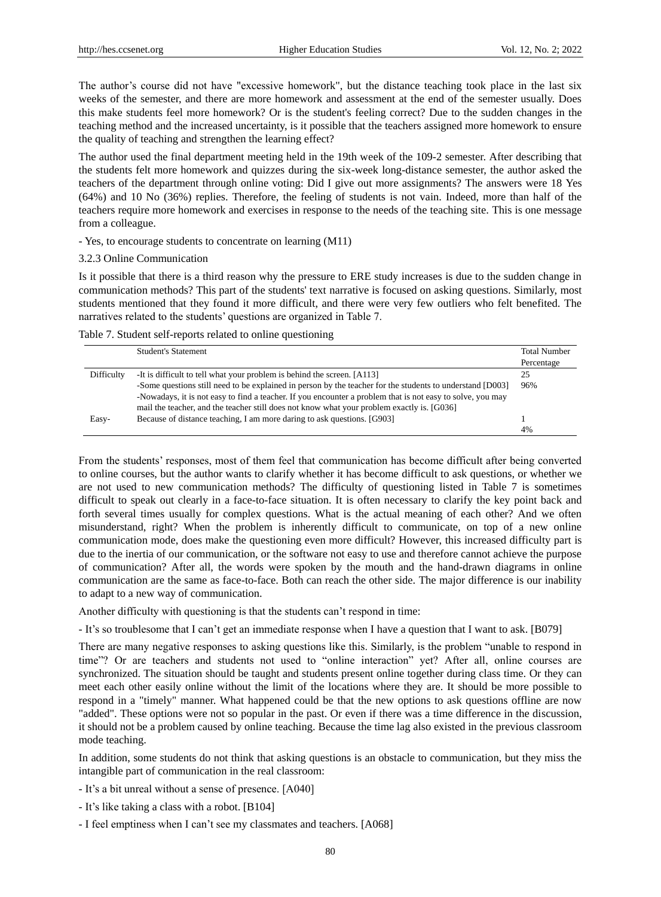The author's course did not have "excessive homework", but the distance teaching took place in the last six weeks of the semester, and there are more homework and assessment at the end of the semester usually. Does this make students feel more homework? Or is the student's feeling correct? Due to the sudden changes in the teaching method and the increased uncertainty, is it possible that the teachers assigned more homework to ensure the quality of teaching and strengthen the learning effect?

The author used the final department meeting held in the 19th week of the 109-2 semester. After describing that the students felt more homework and quizzes during the six-week long-distance semester, the author asked the teachers of the department through online voting: Did I give out more assignments? The answers were 18 Yes (64%) and 10 No (36%) replies. Therefore, the feeling of students is not vain. Indeed, more than half of the teachers require more homework and exercises in response to the needs of the teaching site. This is one message from a colleague.

- Yes, to encourage students to concentrate on learning (M11)

#### 3.2.3 Online Communication

Is it possible that there is a third reason why the pressure to ERE study increases is due to the sudden change in communication methods? This part of the students' text narrative is focused on asking questions. Similarly, most students mentioned that they found it more difficult, and there were very few outliers who felt benefited. The narratives related to the students' questions are organized in Table 7.

Table 7. Student self-reports related to online questioning

|            | <b>Student's Statement</b>                                                                                 | <b>Total Number</b> |
|------------|------------------------------------------------------------------------------------------------------------|---------------------|
|            |                                                                                                            | Percentage          |
| Difficulty | -It is difficult to tell what your problem is behind the screen. [A113]                                    | 25                  |
|            | -Some questions still need to be explained in person by the teacher for the students to understand [D003]  | 96%                 |
|            | -Nowadays, it is not easy to find a teacher. If you encounter a problem that is not easy to solve, you may |                     |
|            | mail the teacher, and the teacher still does not know what your problem exactly is. [G036]                 |                     |
| Easy-      | Because of distance teaching, I am more daring to ask questions. [G903]                                    |                     |
|            |                                                                                                            | 4%                  |

From the students' responses, most of them feel that communication has become difficult after being converted to online courses, but the author wants to clarify whether it has become difficult to ask questions, or whether we are not used to new communication methods? The difficulty of questioning listed in Table 7 is sometimes difficult to speak out clearly in a face-to-face situation. It is often necessary to clarify the key point back and forth several times usually for complex questions. What is the actual meaning of each other? And we often misunderstand, right? When the problem is inherently difficult to communicate, on top of a new online communication mode, does make the questioning even more difficult? However, this increased difficulty part is due to the inertia of our communication, or the software not easy to use and therefore cannot achieve the purpose of communication? After all, the words were spoken by the mouth and the hand-drawn diagrams in online communication are the same as face-to-face. Both can reach the other side. The major difference is our inability to adapt to a new way of communication.

Another difficulty with questioning is that the students can't respond in time:

- It's so troublesome that I can't get an immediate response when I have a question that I want to ask. [B079]

There are many negative responses to asking questions like this. Similarly, is the problem "unable to respond in time"? Or are teachers and students not used to "online interaction" yet? After all, online courses are synchronized. The situation should be taught and students present online together during class time. Or they can meet each other easily online without the limit of the locations where they are. It should be more possible to respond in a "timely" manner. What happened could be that the new options to ask questions offline are now "added". These options were not so popular in the past. Or even if there was a time difference in the discussion, it should not be a problem caused by online teaching. Because the time lag also existed in the previous classroom mode teaching.

In addition, some students do not think that asking questions is an obstacle to communication, but they miss the intangible part of communication in the real classroom:

- It's a bit unreal without a sense of presence. [A040]
- It's like taking a class with a robot. [B104]
- I feel emptiness when I can't see my classmates and teachers. [A068]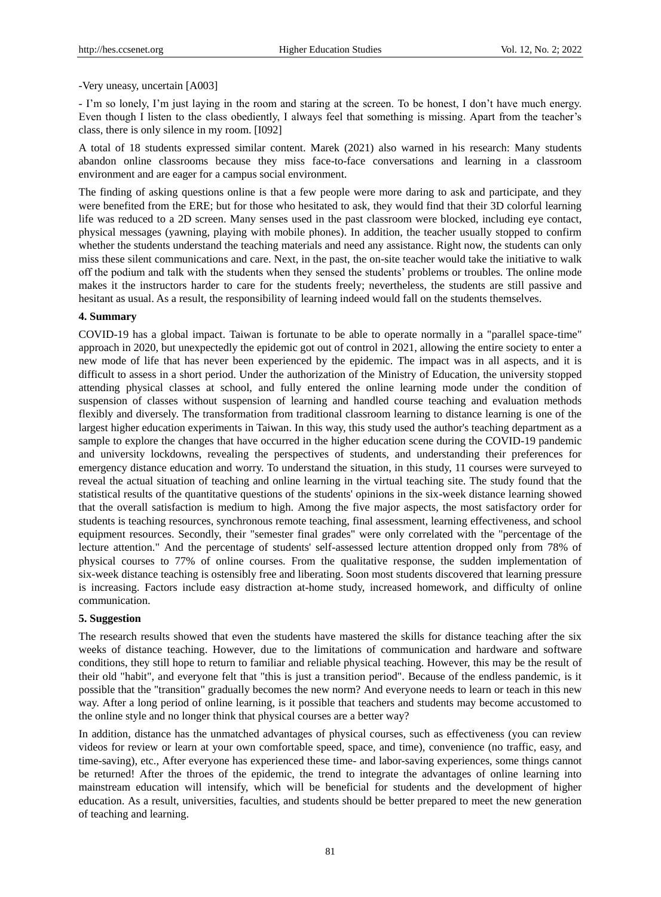#### -Very uneasy, uncertain [A003]

- I'm so lonely, I'm just laying in the room and staring at the screen. To be honest, I don't have much energy. Even though I listen to the class obediently, I always feel that something is missing. Apart from the teacher's class, there is only silence in my room. [I092]

A total of 18 students expressed similar content. Marek (2021) also warned in his research: Many students abandon online classrooms because they miss face-to-face conversations and learning in a classroom environment and are eager for a campus social environment.

The finding of asking questions online is that a few people were more daring to ask and participate, and they were benefited from the ERE; but for those who hesitated to ask, they would find that their 3D colorful learning life was reduced to a 2D screen. Many senses used in the past classroom were blocked, including eye contact, physical messages (yawning, playing with mobile phones). In addition, the teacher usually stopped to confirm whether the students understand the teaching materials and need any assistance. Right now, the students can only miss these silent communications and care. Next, in the past, the on-site teacher would take the initiative to walk off the podium and talk with the students when they sensed the students' problems or troubles. The online mode makes it the instructors harder to care for the students freely; nevertheless, the students are still passive and hesitant as usual. As a result, the responsibility of learning indeed would fall on the students themselves.

## **4. Summary**

COVID-19 has a global impact. Taiwan is fortunate to be able to operate normally in a "parallel space-time" approach in 2020, but unexpectedly the epidemic got out of control in 2021, allowing the entire society to enter a new mode of life that has never been experienced by the epidemic. The impact was in all aspects, and it is difficult to assess in a short period. Under the authorization of the Ministry of Education, the university stopped attending physical classes at school, and fully entered the online learning mode under the condition of suspension of classes without suspension of learning and handled course teaching and evaluation methods flexibly and diversely. The transformation from traditional classroom learning to distance learning is one of the largest higher education experiments in Taiwan. In this way, this study used the author's teaching department as a sample to explore the changes that have occurred in the higher education scene during the COVID-19 pandemic and university lockdowns, revealing the perspectives of students, and understanding their preferences for emergency distance education and worry. To understand the situation, in this study, 11 courses were surveyed to reveal the actual situation of teaching and online learning in the virtual teaching site. The study found that the statistical results of the quantitative questions of the students' opinions in the six-week distance learning showed that the overall satisfaction is medium to high. Among the five major aspects, the most satisfactory order for students is teaching resources, synchronous remote teaching, final assessment, learning effectiveness, and school equipment resources. Secondly, their "semester final grades" were only correlated with the "percentage of the lecture attention." And the percentage of students' self-assessed lecture attention dropped only from 78% of physical courses to 77% of online courses. From the qualitative response, the sudden implementation of six-week distance teaching is ostensibly free and liberating. Soon most students discovered that learning pressure is increasing. Factors include easy distraction at-home study, increased homework, and difficulty of online communication.

## **5. Suggestion**

The research results showed that even the students have mastered the skills for distance teaching after the six weeks of distance teaching. However, due to the limitations of communication and hardware and software conditions, they still hope to return to familiar and reliable physical teaching. However, this may be the result of their old "habit", and everyone felt that "this is just a transition period". Because of the endless pandemic, is it possible that the "transition" gradually becomes the new norm? And everyone needs to learn or teach in this new way. After a long period of online learning, is it possible that teachers and students may become accustomed to the online style and no longer think that physical courses are a better way?

In addition, distance has the unmatched advantages of physical courses, such as effectiveness (you can review videos for review or learn at your own comfortable speed, space, and time), convenience (no traffic, easy, and time-saving), etc., After everyone has experienced these time- and labor-saving experiences, some things cannot be returned! After the throes of the epidemic, the trend to integrate the advantages of online learning into mainstream education will intensify, which will be beneficial for students and the development of higher education. As a result, universities, faculties, and students should be better prepared to meet the new generation of teaching and learning.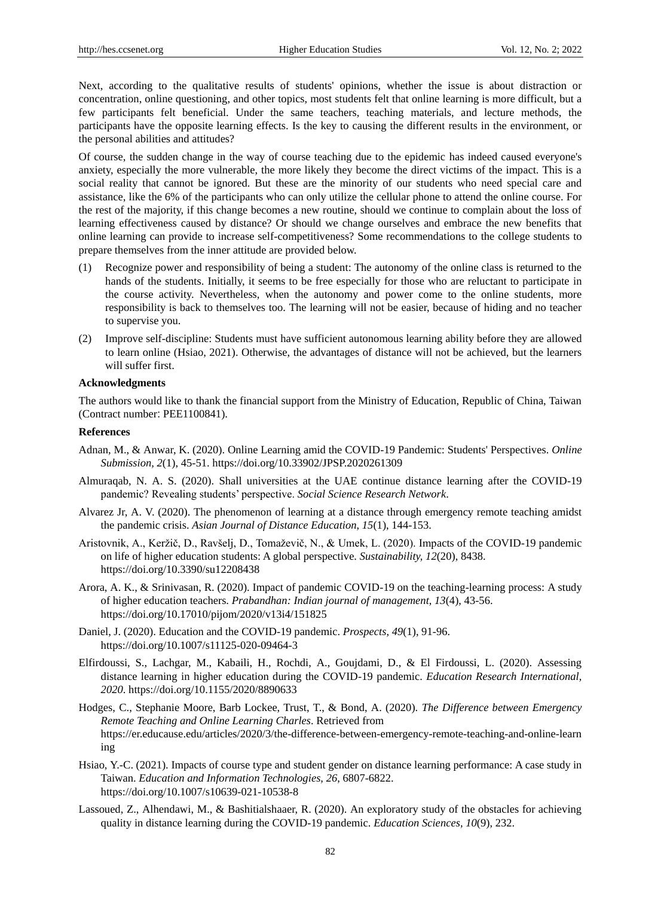Next, according to the qualitative results of students' opinions, whether the issue is about distraction or concentration, online questioning, and other topics, most students felt that online learning is more difficult, but a few participants felt beneficial. Under the same teachers, teaching materials, and lecture methods, the participants have the opposite learning effects. Is the key to causing the different results in the environment, or the personal abilities and attitudes?

Of course, the sudden change in the way of course teaching due to the epidemic has indeed caused everyone's anxiety, especially the more vulnerable, the more likely they become the direct victims of the impact. This is a social reality that cannot be ignored. But these are the minority of our students who need special care and assistance, like the 6% of the participants who can only utilize the cellular phone to attend the online course. For the rest of the majority, if this change becomes a new routine, should we continue to complain about the loss of learning effectiveness caused by distance? Or should we change ourselves and embrace the new benefits that online learning can provide to increase self-competitiveness? Some recommendations to the college students to prepare themselves from the inner attitude are provided below.

- (1) Recognize power and responsibility of being a student: The autonomy of the online class is returned to the hands of the students. Initially, it seems to be free especially for those who are reluctant to participate in the course activity. Nevertheless, when the autonomy and power come to the online students, more responsibility is back to themselves too. The learning will not be easier, because of hiding and no teacher to supervise you.
- (2) Improve self-discipline: Students must have sufficient autonomous learning ability before they are allowed to learn online (Hsiao, 2021). Otherwise, the advantages of distance will not be achieved, but the learners will suffer first.

#### **Acknowledgments**

The authors would like to thank the financial support from the Ministry of Education, Republic of China, Taiwan (Contract number: PEE1100841).

#### **References**

- Adnan, M., & Anwar, K. (2020). Online Learning amid the COVID-19 Pandemic: Students' Perspectives. *Online Submission, 2*(1), 45-51. https://doi.org/10.33902/JPSP.2020261309
- Almuraqab, N. A. S. (2020). Shall universities at the UAE continue distance learning after the COVID-19 pandemic? Revealing students' perspective. *Social Science Research Network*.
- Alvarez Jr, A. V. (2020). The phenomenon of learning at a distance through emergency remote teaching amidst the pandemic crisis. *Asian Journal of Distance Education, 15*(1), 144-153.
- Aristovnik, A., Keržič, D., Ravšelj, D., Tomaževič, N., & Umek, L. (2020). Impacts of the COVID-19 pandemic on life of higher education students: A global perspective. *Sustainability, 12*(20), 8438. https://doi.org/10.3390/su12208438
- Arora, A. K., & Srinivasan, R. (2020). Impact of pandemic COVID-19 on the teaching-learning process: A study of higher education teachers. *Prabandhan: Indian journal of management, 13*(4), 43-56. https://doi.org/10.17010/pijom/2020/v13i4/151825
- Daniel, J. (2020). Education and the COVID-19 pandemic. *Prospects, 49*(1), 91-96. https://doi.org/10.1007/s11125-020-09464-3
- Elfirdoussi, S., Lachgar, M., Kabaili, H., Rochdi, A., Goujdami, D., & El Firdoussi, L. (2020). Assessing distance learning in higher education during the COVID-19 pandemic. *Education Research International, 2020*. https://doi.org/10.1155/2020/8890633
- Hodges, C., Stephanie Moore, Barb Lockee, Trust, T., & Bond, A. (2020). *The Difference between Emergency Remote Teaching and Online Learning Charles*. Retrieved from https://er.educause.edu/articles/2020/3/the-difference-between-emergency-remote-teaching-and-online-learn ing
- Hsiao, Y.-C. (2021). Impacts of course type and student gender on distance learning performance: A case study in Taiwan. *Education and Information Technologies, 26*, 6807-6822. https://doi.org/10.1007/s10639-021-10538-8
- Lassoued, Z., Alhendawi, M., & Bashitialshaaer, R. (2020). An exploratory study of the obstacles for achieving quality in distance learning during the COVID-19 pandemic. *Education Sciences, 10*(9), 232.